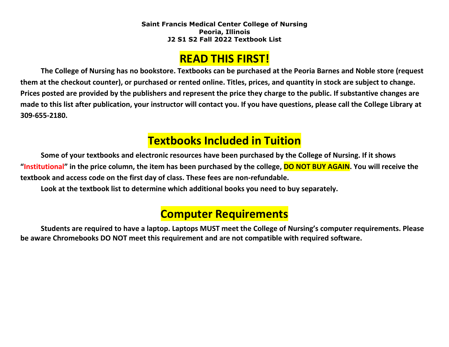### **READ THIS FIRST!**

**The College of Nursing has no bookstore. Textbooks can be purchased at the Peoria Barnes and Noble store (request them at the checkout counter), or purchased or rented online. Titles, prices, and quantity in stock are subject to change. Prices posted are provided by the publishers and represent the price they charge to the public. If substantive changes are made to this list after publication, your instructor will contact you. If you have questions, please call the College Library at 309-655-2180.**

## **Textbooks Included in Tuition**

**Some of your textbooks and electronic resources have been purchased by the College of Nursing. If it shows "Institutional" in the price column, the item has been purchased by the college, DO NOT BUY AGAIN. You will receive the textbook and access code on the first day of class. These fees are non-refundable.**

**Look at the textbook list to determine which additional books you need to buy separately.**

# **Computer Requirements**

**Students are required to have a laptop. Laptops MUST meet the College of Nursing's computer requirements. Please be aware Chromebooks DO NOT meet this requirement and are not compatible with required software.**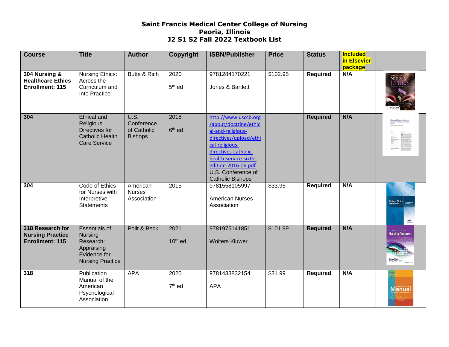| <b>Course</b>                                                  | <b>Title</b>                                                                                                 | <b>Author</b>                                       | Copyright                  | <b>ISBN/Publisher</b>                                                                                                                                                                                                                   | <b>Price</b> | <b>Status</b>   | <b>Included</b><br>in Elsevier<br>package |                                 |
|----------------------------------------------------------------|--------------------------------------------------------------------------------------------------------------|-----------------------------------------------------|----------------------------|-----------------------------------------------------------------------------------------------------------------------------------------------------------------------------------------------------------------------------------------|--------------|-----------------|-------------------------------------------|---------------------------------|
| 304 Nursing &<br><b>Healthcare Ethics</b><br>Enrollment: 115   | Nursing Ethics:<br>Across the<br>Curriculum and<br>Into Practice                                             | Butts & Rich                                        | 2020<br>5 <sup>th</sup> ed | 9781284170221<br>Jones & Bartlett                                                                                                                                                                                                       | \$102.95     | <b>Required</b> | N/A                                       | NURSING<br>ETTIIUS              |
| 304                                                            | Ethical and<br>Religious<br>Directives for<br>Catholic Health<br><b>Care Service</b>                         | U.S.<br>Conference<br>of Catholic<br><b>Bishops</b> | 2018<br>6 <sup>th</sup> ed | http://www.usccb.org<br>/about/doctrine/ethic<br>al-and-religious-<br>directives/upload/ethi<br>cal-religious-<br>directives-catholic-<br>health-service-sixth-<br>edition-2016-06.pdf<br>U.S. Conference of<br><b>Catholic Bishops</b> |              | <b>Required</b> | N/A                                       |                                 |
| 304                                                            | Code of Ethics<br>for Nurses with<br>Interpretive<br><b>Statements</b>                                       | American<br><b>Nurses</b><br>Association            | 2015                       | 9781558105997<br><b>American Nurses</b><br>Association                                                                                                                                                                                  | \$33.95      | Required        | N/A                                       | Code of Ethics                  |
| 318 Research for<br><b>Nursing Practice</b><br>Enrollment: 115 | <b>Essentials of</b><br><b>Nursing</b><br>Research:<br>Appraising<br>Evidence for<br><b>Nursing Practice</b> | Polit & Beck                                        | 2021<br>$10th$ ed          | 9781975141851<br><b>Wolters Kluwer</b>                                                                                                                                                                                                  | \$101.99     | <b>Required</b> | N/A                                       | SENTIALS OF<br>Nursing Research |
| 318                                                            | Publication<br>Manual of the<br>American<br>Psychological<br>Association                                     | <b>APA</b>                                          | 2020<br>$7th$ ed           | 9781433832154<br><b>APA</b>                                                                                                                                                                                                             | \$31.99      | <b>Required</b> | N/A                                       | <b>Manua</b>                    |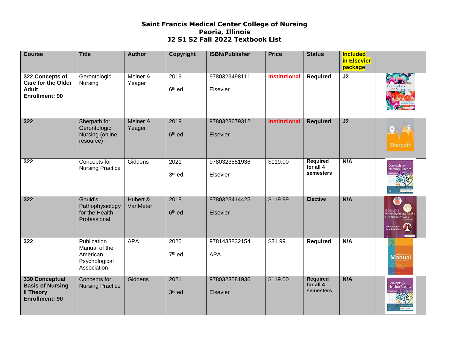| <b>Course</b>                                                                          | <b>Title</b>                                                             | <b>Author</b>        | Copyright                  | <b>ISBN/Publisher</b>       | <b>Price</b>         | <b>Status</b>                                    | <b>Included</b><br>in Elsevier<br>package |                                  |
|----------------------------------------------------------------------------------------|--------------------------------------------------------------------------|----------------------|----------------------------|-----------------------------|----------------------|--------------------------------------------------|-------------------------------------------|----------------------------------|
| 322 Concepts of<br><b>Care for the Older</b><br><b>Adult</b><br>Enrollment: 90         | Gerontologic<br>Nursing                                                  | Meiner &<br>Yeager   | 2019<br>6 <sup>th</sup> ed | 9780323498111<br>Elsevier   | <b>Institutional</b> | <b>Required</b>                                  | J2                                        |                                  |
| 322                                                                                    | Sherpath for<br>Gerontologic<br>Nursing (online<br>resource)             | Meiner &<br>Yeager   | 2019<br>6 <sup>th</sup> ed | 9780323679312<br>Elsevier   | <b>Institutional</b> | <b>Required</b>                                  | J2                                        | Sherpath                         |
| 322                                                                                    | Concepts for<br><b>Nursing Practice</b>                                  | Giddens              | 2021<br>3rd ed             | 9780323581936<br>Elsevier   | \$119.00             | <b>Required</b><br>for all 4<br><b>semesters</b> | N/A                                       | Concepts for<br>Nursing Practice |
| 322                                                                                    | Gould's<br>Pathophysiology<br>for the Health<br>Professional             | Hubert &<br>VanMeter | 2018<br>6 <sup>th</sup> ed | 9780323414425<br>Elsevier   | \$119.99             | <b>Elective</b>                                  | N/A                                       | <b>GOULD'S</b><br>lealth Profess |
| 322                                                                                    | Publication<br>Manual of the<br>American<br>Psychological<br>Association | <b>APA</b>           | 2020<br>7 <sup>th</sup> ed | 9781433832154<br><b>APA</b> | \$31.99              | <b>Required</b>                                  | N/A                                       | <b>Manual</b>                    |
| 330 Conceptual<br><b>Basis of Nursing</b><br><b>Il Theory</b><br><b>Enrollment: 90</b> | Concepts for<br><b>Nursing Practice</b>                                  | Giddens              | 2021<br>3rd ed             | 9780323581936<br>Elsevier   | \$119.00             | <b>Required</b><br>for all 4<br><b>semesters</b> | N/A                                       | Concepts for<br>Nursing Practice |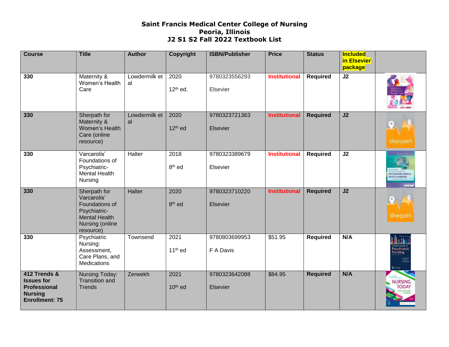| <b>Course</b>                                                                                       | <b>Title</b>                                                                                                          | <b>Author</b>       | Copyright                   | <b>ISBN/Publisher</b>      | <b>Price</b>         | <b>Status</b>   | <b>Included</b><br>in Elsevier<br>package |                                                 |
|-----------------------------------------------------------------------------------------------------|-----------------------------------------------------------------------------------------------------------------------|---------------------|-----------------------------|----------------------------|----------------------|-----------------|-------------------------------------------|-------------------------------------------------|
| 330                                                                                                 | Maternity &<br>Women's Health<br>Care                                                                                 | Lowdermilk et<br>al | 2020<br>$12th$ ed.          | 9780323556293<br>Elsevier  | <b>Institutional</b> | Required        | J2                                        |                                                 |
| 330                                                                                                 | Sherpath for<br>Maternity &<br>Women's Health<br>Care (online<br>resource)                                            | Lowdermilk et<br>al | 2020<br>12 <sup>th</sup> ed | 9780323721363<br>Elsevier  | <b>Institutional</b> | <b>Required</b> | J2                                        | Sherpath                                        |
| 330                                                                                                 | Varcarolis'<br>Foundations of<br>Psychiatric-<br><b>Mental Health</b><br>Nursing                                      | Halter              | 2018<br>8 <sup>th</sup> ed  | 9780323389679<br>Elsevier  | <b>Institutional</b> | Required        | $\overline{J2}$                           | <b>PSYCHIATRIC MENT</b><br><b>HEALTH NURSIN</b> |
| 330                                                                                                 | Sherpath for<br>Varcarolis'<br>Foundations of<br>Psychiatric-<br><b>Mental Health</b><br>Nursing (online<br>resource) | Halter              | 2020<br>8 <sup>th</sup> ed  | 9780323710220<br>Elsevier  | <b>Institutional</b> | <b>Required</b> | J2                                        | Sherpath                                        |
| 330                                                                                                 | Psychiatric<br>Nursing:<br>Assessment,<br>Care Plans, and<br>Medications                                              | Townsend            | 2021<br>$11th$ ed           | 9780803699953<br>F A Davis | \$51.95              | <b>Required</b> | N/A                                       | Psychiatri<br>Nursing<br><b>CEA DAVIS</b>       |
| 412 Trends &<br><b>Issues for</b><br><b>Professional</b><br><b>Nursing</b><br><b>Enrollment: 75</b> | Nursing Today:<br><b>Transition and</b><br><b>Trends</b>                                                              | Zerwekh             | 2021<br>10 <sup>th</sup> ed | 9780323642088<br>Elsevier  | \$84.95              | <b>Required</b> | N/A                                       | <b>NURSING</b><br><b>TODAY</b>                  |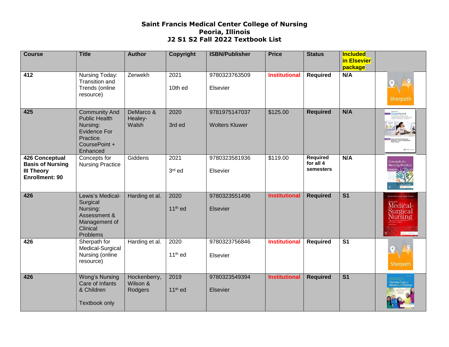| <b>Course</b>                                                                           | <b>Title</b>                                                                                                              | <b>Author</b>                       | Copyright                   | <b>ISBN/Publisher</b>                  | <b>Price</b>         | <b>Status</b>                             | <b>Included</b><br>in Elsevier<br>package |                                                     |
|-----------------------------------------------------------------------------------------|---------------------------------------------------------------------------------------------------------------------------|-------------------------------------|-----------------------------|----------------------------------------|----------------------|-------------------------------------------|-------------------------------------------|-----------------------------------------------------|
| 412                                                                                     | Nursing Today:<br>Transition and<br>Trends (online<br>resource)                                                           | Zerwekh                             | 2021<br>10th ed             | 9780323763509<br>Elsevier              | <b>Institutional</b> | <b>Required</b>                           | N/A                                       | Sherpath                                            |
| 425                                                                                     | <b>Community And</b><br><b>Public Health</b><br>Nursing:<br><b>Evidence For</b><br>Practice.<br>CoursePoint +<br>Enhanced | DeMarco &<br>Healey-<br>Walsh       | 2020<br>3rd ed              | 9781975147037<br><b>Wolters Kluwer</b> | \$125.00             | <b>Required</b>                           | N/A                                       | Lippincott <sup>2</sup><br>CoursePoint <sup>+</sup> |
| <b>426 Conceptual</b><br><b>Basis of Nursing</b><br><b>III Theory</b><br>Enrollment: 90 | Concepts for<br><b>Nursing Practice</b>                                                                                   | Giddens                             | 2021<br>3rd ed              | 9780323581936<br>Elsevier              | \$119.00             | <b>Required</b><br>for all 4<br>semesters | N/A                                       | Concepts for<br>Nursing Practice                    |
| 426                                                                                     | Lewis's Medical-<br>Surgical<br>Nursing:<br>Assessment &<br>Management of<br>Clinical<br>Problems                         | Harding et al.                      | 2020<br>$11th$ ed           | 9780323551496<br>Elsevier              | <b>Institutional</b> | <b>Required</b>                           | $\overline{\mathsf{S}1}$                  | Lewis's<br>Medical-<br>Surgical<br>Nursing          |
| 426                                                                                     | Sherpath for<br>Medical-Surgical<br>Nursing (online<br>resource)                                                          | Harding et al.                      | 2020<br>$11th$ ed           | 9780323756846<br>Elsevier              | <b>Institutional</b> | <b>Required</b>                           | $\overline{\mathsf{S}1}$                  | Sherpath                                            |
| 426                                                                                     | Wong's Nursing<br>Care of Infants<br>& Children<br><b>Textbook only</b>                                                   | Hockenberry,<br>Wilson &<br>Rodgers | 2019<br>11 <sup>th</sup> ed | 9780323549394<br>Elsevier              | <b>Institutional</b> | <b>Required</b>                           | $\overline{\mathsf{S}1}$                  |                                                     |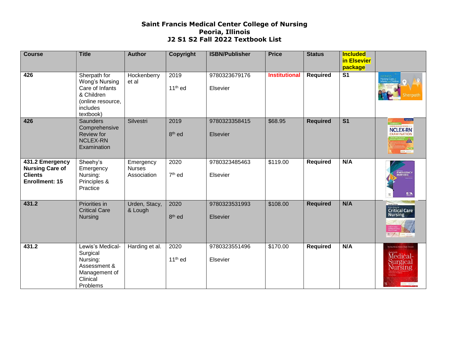| <b>Course</b>                                                                        | <b>Title</b>                                                                                                  | <b>Author</b>                             | Copyright                  | <b>ISBN/Publisher</b>     | <b>Price</b>         | <b>Status</b>   | <b>Included</b><br>in Elsevier<br>package |                                                                                               |
|--------------------------------------------------------------------------------------|---------------------------------------------------------------------------------------------------------------|-------------------------------------------|----------------------------|---------------------------|----------------------|-----------------|-------------------------------------------|-----------------------------------------------------------------------------------------------|
| 426                                                                                  | Sherpath for<br>Wong's Nursing<br>Care of Infants<br>& Children<br>(online resource,<br>includes<br>textbook) | Hockenberry<br>et al                      | 2019<br>$11th$ ed          | 9780323679176<br>Elsevier | <b>Institutional</b> | <b>Required</b> | $\overline{\mathsf{s}}$ 1                 | erpath                                                                                        |
| 426                                                                                  | <b>Saunders</b><br>Comprehensive<br><b>Review for</b><br><b>NCLEX-RN</b><br>Examination                       | Silvestri                                 | 2019<br>8 <sup>th</sup> ed | 9780323358415<br>Elsevier | \$68.95              | <b>Required</b> | $\overline{\mathsf{S}1}$                  | <b>Norman</b><br>SAUNDERS<br>HEMINSIVE REVIEW ---<br><b>NCLEX-RN</b><br><b>Gelen Internet</b> |
| 431.2 Emergency<br><b>Nursing Care of</b><br><b>Clients</b><br><b>Enrollment: 15</b> | Sheehy's<br>Emergency<br>Nursing:<br>Principles &<br>Practice                                                 | Emergency<br><b>Nurses</b><br>Association | 2020<br>7 <sup>th</sup> ed | 9780323485463<br>Elsevier | \$119.00             | <b>Required</b> | N/A                                       | EMERGENC<br>EIA                                                                               |
| 431.2                                                                                | Priorities in<br><b>Critical Care</b><br><b>Nursing</b>                                                       | Urden, Stacy,<br>& Lough                  | 2020<br>8 <sup>th</sup> ed | 9780323531993<br>Elsevier | \$108.00             | <b>Required</b> | N/A                                       | <b>Priorities in</b><br>Critical Care<br><b>Nursing</b>                                       |
| 431.2                                                                                | Lewis's Medical-<br>Surgical<br>Nursing:<br>Assessment &<br>Management of<br>Clinical<br>Problems             | Harding et al.                            | 2020<br>$11th$ ed          | 9780323551496<br>Elsevier | \$170.00             | <b>Required</b> | N/A                                       | Lewis's Medical-<br>Surgical<br>Nursing                                                       |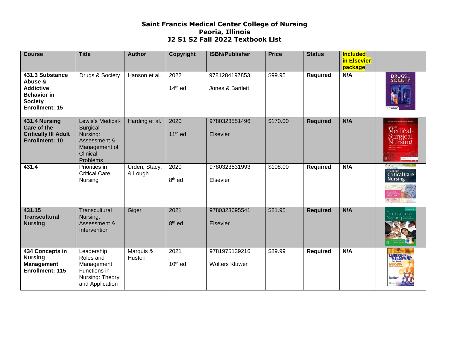| <b>Course</b>                                                                                                   | <b>Title</b>                                                                                      | <b>Author</b>            | Copyright                  | <b>ISBN/Publisher</b>                  | <b>Price</b> | <b>Status</b>   | <b>Included</b><br>in Elsevier<br>package |                                                  |
|-----------------------------------------------------------------------------------------------------------------|---------------------------------------------------------------------------------------------------|--------------------------|----------------------------|----------------------------------------|--------------|-----------------|-------------------------------------------|--------------------------------------------------|
| 431.3 Substance<br>Abuse &<br><b>Addictive</b><br><b>Behavior in</b><br><b>Society</b><br><b>Enrollment: 15</b> | Drugs & Society                                                                                   | Hanson et al.            | 2022<br>$14th$ ed          | 9781284197853<br>Jones & Bartlett      | \$99.95      | <b>Required</b> | N/A                                       | <b>DRUGS</b>                                     |
| 431.4 Nursing<br><b>Care of the</b><br><b>Critically III Adult</b><br><b>Enrollment: 10</b>                     | Lewis's Medical-<br>Surgical<br>Nursing:<br>Assessment &<br>Management of<br>Clinical<br>Problems | Harding et al.           | 2020<br>$11th$ ed          | 9780323551496<br>Elsevier              | \$170.00     | <b>Required</b> | N/A                                       | Medical-<br>Surgical<br><b>Nursing</b>           |
| 431.4                                                                                                           | Priorities in<br><b>Critical Care</b><br>Nursing                                                  | Urden, Stacy,<br>& Lough | 2020<br>8 <sup>th</sup> ed | 9780323531993<br>Elsevier              | \$108.00     | <b>Required</b> | N/A                                       | <b>Priorities in</b><br>Critical Care<br>Nursing |
| 431.15<br><b>Transcultural</b><br><b>Nursing</b>                                                                | Transcultural<br>Nursing:<br>Assessment &<br>Intervention                                         | Giger                    | 2021<br>8 <sup>th</sup> ed | 9780323695541<br>Elsevier              | \$81.95      | <b>Required</b> | N/A                                       | Transcultural                                    |
| 434 Concepts in<br><b>Nursing</b><br><b>Management</b><br><b>Enrollment: 115</b>                                | Leadership<br>Roles and<br>Management<br>Functions in<br>Nursing: Theory<br>and Application       | Marquis &<br>Huston      | 2021<br>$10th$ ed          | 9781975139216<br><b>Wolters Kluwer</b> | \$89.99      | <b>Required</b> | N/A                                       | LEADERSHIPRotes                                  |